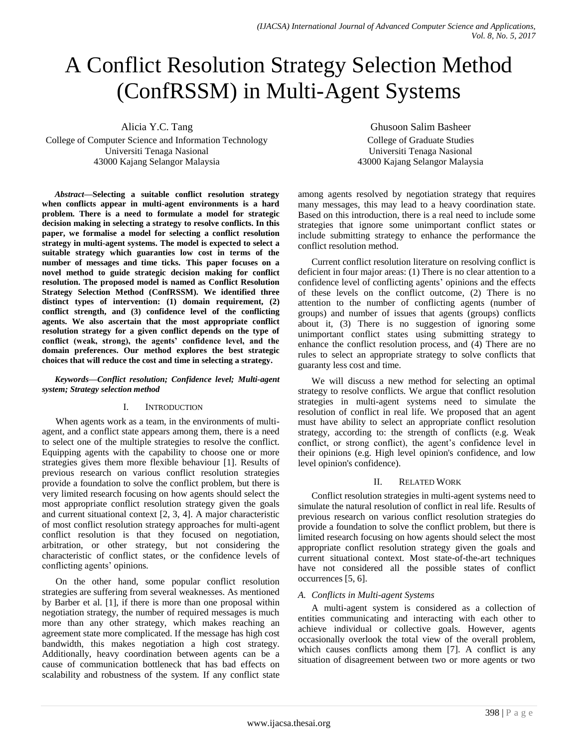# A Conflict Resolution Strategy Selection Method (ConfRSSM) in Multi-Agent Systems

Alicia Y.C. Tang College of Computer Science and Information Technology Universiti Tenaga Nasional 43000 Kajang Selangor Malaysia

*Abstract***—Selecting a suitable conflict resolution strategy when conflicts appear in multi-agent environments is a hard problem. There is a need to formulate a model for strategic decision making in selecting a strategy to resolve conflicts. In this paper, we formalise a model for selecting a conflict resolution strategy in multi-agent systems. The model is expected to select a suitable strategy which guaranties low cost in terms of the number of messages and time ticks. This paper focuses on a novel method to guide strategic decision making for conflict resolution. The proposed model is named as Conflict Resolution Strategy Selection Method (ConfRSSM). We identified three distinct types of intervention: (1) domain requirement, (2) conflict strength, and (3) confidence level of the conflicting agents. We also ascertain that the most appropriate conflict resolution strategy for a given conflict depends on the type of conflict (weak, strong), the agents' confidence level, and the domain preferences. Our method explores the best strategic choices that will reduce the cost and time in selecting a strategy.**

#### *Keywords—Conflict resolution; Confidence level; Multi-agent system; Strategy selection method*

# I. INTRODUCTION

When agents work as a team, in the environments of multiagent, and a conflict state appears among them, there is a need to select one of the multiple strategies to resolve the conflict. Equipping agents with the capability to choose one or more strategies gives them more flexible behaviour [1]. Results of previous research on various conflict resolution strategies provide a foundation to solve the conflict problem, but there is very limited research focusing on how agents should select the most appropriate conflict resolution strategy given the goals and current situational context [2, 3, 4]. A major characteristic of most conflict resolution strategy approaches for multi-agent conflict resolution is that they focused on negotiation, arbitration, or other strategy, but not considering the characteristic of conflict states, or the confidence levels of conflicting agents' opinions.

On the other hand, some popular conflict resolution strategies are suffering from several weaknesses. As mentioned by Barber et al. [1], if there is more than one proposal within negotiation strategy, the number of required messages is much more than any other strategy, which makes reaching an agreement state more complicated. If the message has high cost bandwidth, this makes negotiation a high cost strategy. Additionally, heavy coordination between agents can be a cause of communication bottleneck that has bad effects on scalability and robustness of the system. If any conflict state

Ghusoon Salim Basheer College of Graduate Studies Universiti Tenaga Nasional 43000 Kajang Selangor Malaysia

among agents resolved by negotiation strategy that requires many messages, this may lead to a heavy coordination state. Based on this introduction, there is a real need to include some strategies that ignore some unimportant conflict states or include submitting strategy to enhance the performance the conflict resolution method.

Current conflict resolution literature on resolving conflict is deficient in four major areas: (1) There is no clear attention to a confidence level of conflicting agents' opinions and the effects of these levels on the conflict outcome, (2) There is no attention to the number of conflicting agents (number of groups) and number of issues that agents (groups) conflicts about it, (3) There is no suggestion of ignoring some unimportant conflict states using submitting strategy to enhance the conflict resolution process, and (4) There are no rules to select an appropriate strategy to solve conflicts that guaranty less cost and time.

We will discuss a new method for selecting an optimal strategy to resolve conflicts. We argue that conflict resolution strategies in multi-agent systems need to simulate the resolution of conflict in real life. We proposed that an agent must have ability to select an appropriate conflict resolution strategy, according to: the strength of conflicts (e.g. Weak conflict, or strong conflict), the agent's confidence level in their opinions (e.g. High level opinion's confidence, and low level opinion's confidence).

# II. RELATED WORK

Conflict resolution strategies in multi-agent systems need to simulate the natural resolution of conflict in real life. Results of previous research on various conflict resolution strategies do provide a foundation to solve the conflict problem, but there is limited research focusing on how agents should select the most appropriate conflict resolution strategy given the goals and current situational context. Most state-of-the-art techniques have not considered all the possible states of conflict occurrences [5, 6].

# *A. Conflicts in Multi-agent Systems*

A multi-agent system is considered as a collection of entities communicating and interacting with each other to achieve individual or collective goals. However, agents occasionally overlook the total view of the overall problem, which causes conflicts among them [7]. A conflict is any situation of disagreement between two or more agents or two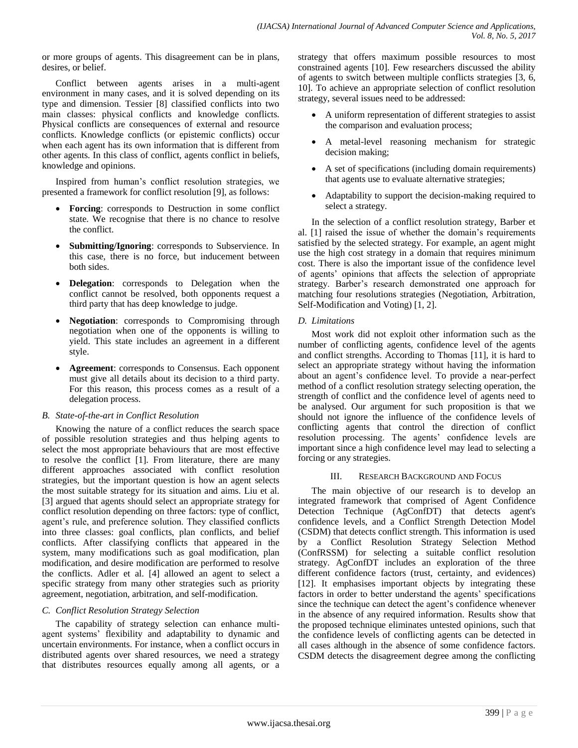or more groups of agents. This disagreement can be in plans, desires, or belief.

Conflict between agents arises in a multi-agent environment in many cases, and it is solved depending on its type and dimension. Tessier [8] classified conflicts into two main classes: physical conflicts and knowledge conflicts. Physical conflicts are consequences of external and resource conflicts. Knowledge conflicts (or epistemic conflicts) occur when each agent has its own information that is different from other agents. In this class of conflict, agents conflict in beliefs, knowledge and opinions.

Inspired from human's conflict resolution strategies, we presented a framework for conflict resolution [9], as follows:

- **Forcing**: corresponds to Destruction in some conflict state. We recognise that there is no chance to resolve the conflict.
- **Submitting/Ignoring**: corresponds to Subservience. In this case, there is no force, but inducement between both sides.
- **Delegation**: corresponds to Delegation when the conflict cannot be resolved, both opponents request a third party that has deep knowledge to judge.
- **Negotiation**: corresponds to Compromising through negotiation when one of the opponents is willing to yield. This state includes an agreement in a different style.
- **Agreement**: corresponds to Consensus. Each opponent must give all details about its decision to a third party. For this reason, this process comes as a result of a delegation process.

# *B. State-of-the-art in Conflict Resolution*

Knowing the nature of a conflict reduces the search space of possible resolution strategies and thus helping agents to select the most appropriate behaviours that are most effective to resolve the conflict [1]. From literature, there are many different approaches associated with conflict resolution strategies, but the important question is how an agent selects the most suitable strategy for its situation and aims. Liu et al. [3] argued that agents should select an appropriate strategy for conflict resolution depending on three factors: type of conflict, agent's rule, and preference solution. They classified conflicts into three classes: goal conflicts, plan conflicts, and belief conflicts. After classifying conflicts that appeared in the system, many modifications such as goal modification, plan modification, and desire modification are performed to resolve the conflicts. Adler et al. [4] allowed an agent to select a specific strategy from many other strategies such as priority agreement, negotiation, arbitration, and self-modification.

# *C. Conflict Resolution Strategy Selection*

The capability of strategy selection can enhance multiagent systems' flexibility and adaptability to dynamic and uncertain environments. For instance, when a conflict occurs in distributed agents over shared resources, we need a strategy that distributes resources equally among all agents, or a strategy that offers maximum possible resources to most constrained agents [10]. Few researchers discussed the ability of agents to switch between multiple conflicts strategies [3, 6, 10]. To achieve an appropriate selection of conflict resolution strategy, several issues need to be addressed:

- A uniform representation of different strategies to assist the comparison and evaluation process;
- A metal-level reasoning mechanism for strategic decision making;
- A set of specifications (including domain requirements) that agents use to evaluate alternative strategies;
- Adaptability to support the decision-making required to select a strategy.

In the selection of a conflict resolution strategy, Barber et al. [1] raised the issue of whether the domain's requirements satisfied by the selected strategy. For example, an agent might use the high cost strategy in a domain that requires minimum cost. There is also the important issue of the confidence level of agents' opinions that affects the selection of appropriate strategy. Barber's research demonstrated one approach for matching four resolutions strategies (Negotiation, Arbitration, Self-Modification and Voting) [1, 2].

# *D. Limitations*

Most work did not exploit other information such as the number of conflicting agents, confidence level of the agents and conflict strengths. According to Thomas [11], it is hard to select an appropriate strategy without having the information about an agent's confidence level. To provide a near-perfect method of a conflict resolution strategy selecting operation, the strength of conflict and the confidence level of agents need to be analysed. Our argument for such proposition is that we should not ignore the influence of the confidence levels of conflicting agents that control the direction of conflict resolution processing. The agents' confidence levels are important since a high confidence level may lead to selecting a forcing or any strategies.

#### III. RESEARCH BACKGROUND AND FOCUS

The main objective of our research is to develop an integrated framework that comprised of Agent Confidence Detection Technique (AgConfDT) that detects agent's confidence levels, and a Conflict Strength Detection Model (CSDM) that detects conflict strength. This information is used by a Conflict Resolution Strategy Selection Method (ConfRSSM) for selecting a suitable conflict resolution strategy. AgConfDT includes an exploration of the three different confidence factors (trust, certainty, and evidences) [12]. It emphasises important objects by integrating these factors in order to better understand the agents' specifications since the technique can detect the agent's confidence whenever in the absence of any required information. Results show that the proposed technique eliminates untested opinions, such that the confidence levels of conflicting agents can be detected in all cases although in the absence of some confidence factors. CSDM detects the disagreement degree among the conflicting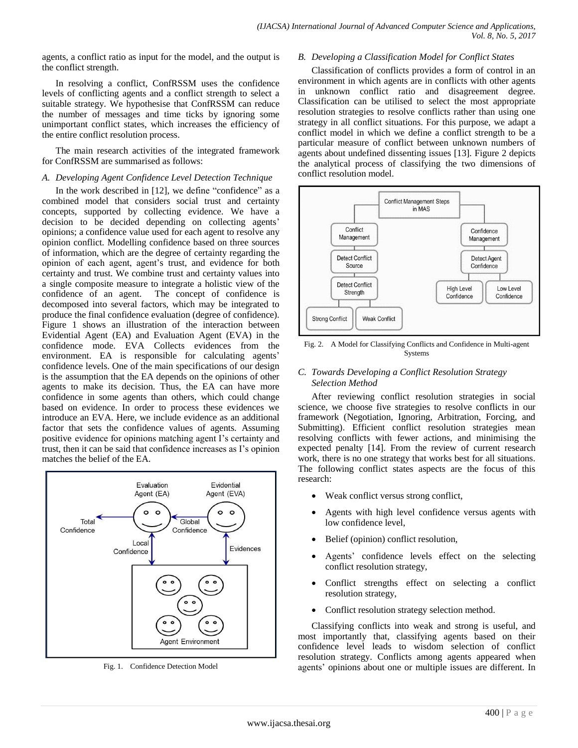agents, a conflict ratio as input for the model, and the output is the conflict strength.

In resolving a conflict, ConfRSSM uses the confidence levels of conflicting agents and a conflict strength to select a suitable strategy. We hypothesise that ConfRSSM can reduce the number of messages and time ticks by ignoring some unimportant conflict states, which increases the efficiency of the entire conflict resolution process.

The main research activities of the integrated framework for ConfRSSM are summarised as follows:

#### *A. Developing Agent Confidence Level Detection Technique*

In the work described in [12], we define "confidence" as a combined model that considers social trust and certainty concepts, supported by collecting evidence. We have a decision to be decided depending on collecting agents' opinions; a confidence value used for each agent to resolve any opinion conflict. Modelling confidence based on three sources of information, which are the degree of certainty regarding the opinion of each agent, agent's trust, and evidence for both certainty and trust. We combine trust and certainty values into a single composite measure to integrate a holistic view of the confidence of an agent. The concept of confidence is decomposed into several factors, which may be integrated to produce the final confidence evaluation (degree of confidence). Figure 1 shows an illustration of the interaction between Evidential Agent (EA) and Evaluation Agent (EVA) in the confidence mode. EVA Collects evidences from the environment. EA is responsible for calculating agents' confidence levels. One of the main specifications of our design is the assumption that the EA depends on the opinions of other agents to make its decision. Thus, the EA can have more confidence in some agents than others, which could change based on evidence. In order to process these evidences we introduce an EVA. Here, we include evidence as an additional factor that sets the confidence values of agents. Assuming positive evidence for opinions matching agent I's certainty and trust, then it can be said that confidence increases as I's opinion matches the belief of the EA.



Fig. 1. Confidence Detection Model

#### *B. Developing a Classification Model for Conflict States*

Classification of conflicts provides a form of control in an environment in which agents are in conflicts with other agents in unknown conflict ratio and disagreement degree. Classification can be utilised to select the most appropriate resolution strategies to resolve conflicts rather than using one strategy in all conflict situations. For this purpose, we adapt a conflict model in which we define a conflict strength to be a particular measure of conflict between unknown numbers of agents about undefined dissenting issues [13]. Figure 2 depicts the analytical process of classifying the two dimensions of conflict resolution model.



Fig. 2. A Model for Classifying Conflicts and Confidence in Multi-agent **Systems** 

### *C. Towards Developing a Conflict Resolution Strategy Selection Method*

After reviewing conflict resolution strategies in social science, we choose five strategies to resolve conflicts in our framework (Negotiation, Ignoring, Arbitration, Forcing, and Submitting). Efficient conflict resolution strategies mean resolving conflicts with fewer actions, and minimising the expected penalty [14]. From the review of current research work, there is no one strategy that works best for all situations. The following conflict states aspects are the focus of this research:

- Weak conflict versus strong conflict,
- Agents with high level confidence versus agents with low confidence level,
- Belief (opinion) conflict resolution,
- Agents' confidence levels effect on the selecting conflict resolution strategy,
- Conflict strengths effect on selecting a conflict resolution strategy,
- Conflict resolution strategy selection method.

Classifying conflicts into weak and strong is useful, and most importantly that, classifying agents based on their confidence level leads to wisdom selection of conflict resolution strategy. Conflicts among agents appeared when agents' opinions about one or multiple issues are different. In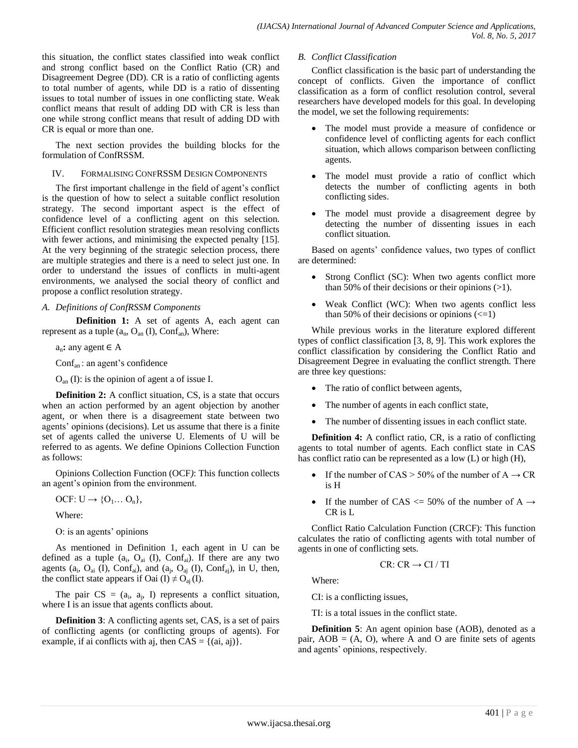this situation, the conflict states classified into weak conflict and strong conflict based on the Conflict Ratio (CR) and Disagreement Degree (DD). CR is a ratio of conflicting agents to total number of agents, while DD is a ratio of dissenting issues to total number of issues in one conflicting state. Weak conflict means that result of adding DD with CR is less than one while strong conflict means that result of adding DD with CR is equal or more than one.

The next section provides the building blocks for the formulation of ConfRSSM.

#### IV. FORMALISING CONFRSSM DESIGN COMPONENTS

The first important challenge in the field of agent's conflict is the question of how to select a suitable conflict resolution strategy. The second important aspect is the effect of confidence level of a conflicting agent on this selection. Efficient conflict resolution strategies mean resolving conflicts with fewer actions, and minimising the expected penalty [15]. At the very beginning of the strategic selection process, there are multiple strategies and there is a need to select just one. In order to understand the issues of conflicts in multi-agent environments, we analysed the social theory of conflict and propose a conflict resolution strategy.

# *A. Definitions of ConfRSSM Components*

**Definition 1:** A set of agents A, each agent can represent as a tuple  $(a_n, O_{an} (I), Conf_{an})$ , Where:

an**:** any agent ∈ A

Confan : an agent's confidence

Oan (I): is the opinion of agent a of issue I.

**Definition 2:** A conflict situation, CS, is a state that occurs when an action performed by an agent objection by another agent, or when there is a disagreement state between two agents' opinions (decisions). Let us assume that there is a finite set of agents called the universe U. Elements of U will be referred to as agents. We define Opinions Collection Function as follows:

Opinions Collection Function (OCF*)*: This function collects an agent's opinion from the environment.

 $OCF: U \rightarrow \{O_1... O_n\},$ 

Where:

O: is an agents' opinions

As mentioned in Definition 1, each agent in U can be defined as a tuple  $(a_i, O_{ai} (I), Conf_{ai})$ . If there are any two agents ( $a_i$ ,  $O_{ai}$  (I),  $Conf_{ai}$ ), and ( $a_j$ ,  $O_{aj}$  (I),  $Conf_{aj}$ ), in U, then, the conflict state appears if Oai (I)  $\neq$  O<sub>aj</sub> (I).

The pair  $CS = (a_i, a_j, I)$  represents a conflict situation, where I is an issue that agents conflicts about.

**Definition 3**: A conflicting agents set, CAS, is a set of pairs of conflicting agents (or conflicting groups of agents). For example, if ai conflicts with aj, then  $CAS = \{(ai, aj)\}.$ 

### *B. Conflict Classification*

Conflict classification is the basic part of understanding the concept of conflicts. Given the importance of conflict classification as a form of conflict resolution control, several researchers have developed models for this goal. In developing the model, we set the following requirements:

- The model must provide a measure of confidence or confidence level of conflicting agents for each conflict situation, which allows comparison between conflicting agents.
- The model must provide a ratio of conflict which detects the number of conflicting agents in both conflicting sides.
- The model must provide a disagreement degree by detecting the number of dissenting issues in each conflict situation.

Based on agents' confidence values, two types of conflict are determined:

- Strong Conflict (SC): When two agents conflict more than 50% of their decisions or their opinions  $(>1)$ .
- Weak Conflict (WC): When two agents conflict less than 50% of their decisions or opinions  $\left(\leq 1\right)$

While previous works in the literature explored different types of conflict classification [3, 8, 9]. This work explores the conflict classification by considering the Conflict Ratio and Disagreement Degree in evaluating the conflict strength. There are three key questions:

- The ratio of conflict between agents,
- The number of agents in each conflict state,
- The number of dissenting issues in each conflict state.

**Definition 4:** A conflict ratio, CR, is a ratio of conflicting agents to total number of agents. Each conflict state in CAS has conflict ratio can be represented as a low (L) or high (H),

- If the number of CAS > 50% of the number of  $A \rightarrow CR$ is H
- If the number of CAS  $\leq$  50% of the number of A  $\rightarrow$ CR is L

Conflict Ratio Calculation Function (CRCF): This function calculates the ratio of conflicting agents with total number of agents in one of conflicting sets.

$$
CR\colon CR\to CI\,/\,TI
$$

Where:

CI: is a conflicting issues,

TI: is a total issues in the conflict state.

**Definition 5**: An agent opinion base (AOB), denoted as a pair,  $AOB = (A, O)$ , where A and O are finite sets of agents and agents' opinions, respectively.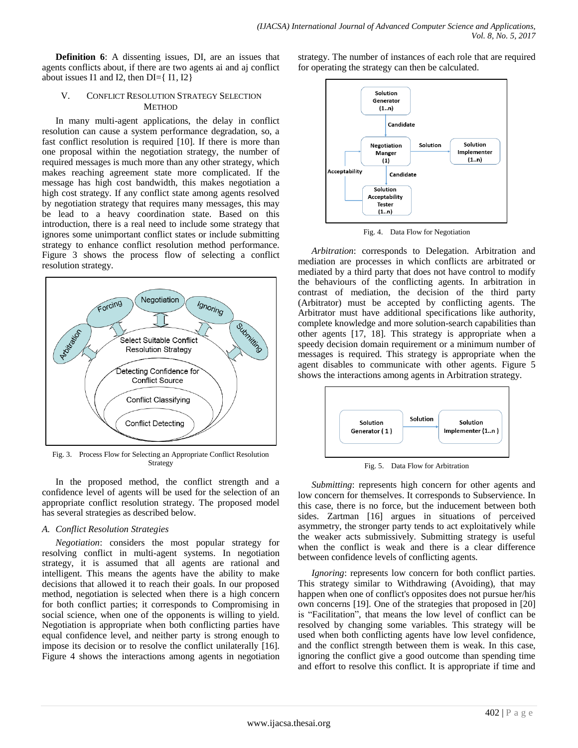**Definition 6**: A dissenting issues, DI, are an issues that agents conflicts about, if there are two agents ai and aj conflict about issues I1 and I2, then  $DI = \{ I1, I2 \}$ 

#### V. CONFLICT RESOLUTION STRATEGY SELECTION **METHOD**

In many multi-agent applications, the delay in conflict resolution can cause a system performance degradation, so, a fast conflict resolution is required [10]. If there is more than one proposal within the negotiation strategy, the number of required messages is much more than any other strategy, which makes reaching agreement state more complicated. If the message has high cost bandwidth, this makes negotiation a high cost strategy. If any conflict state among agents resolved by negotiation strategy that requires many messages, this may be lead to a heavy coordination state. Based on this introduction, there is a real need to include some strategy that ignores some unimportant conflict states or include submitting strategy to enhance conflict resolution method performance. Figure 3 shows the process flow of selecting a conflict resolution strategy.



Fig. 3. Process Flow for Selecting an Appropriate Conflict Resolution Strategy

In the proposed method, the conflict strength and a confidence level of agents will be used for the selection of an appropriate conflict resolution strategy. The proposed model has several strategies as described below.

# *A. Conflict Resolution Strategies*

*Negotiation*: considers the most popular strategy for resolving conflict in multi-agent systems. In negotiation strategy, it is assumed that all agents are rational and intelligent. This means the agents have the ability to make decisions that allowed it to reach their goals. In our proposed method, negotiation is selected when there is a high concern for both conflict parties; it corresponds to Compromising in social science, when one of the opponents is willing to yield. Negotiation is appropriate when both conflicting parties have equal confidence level, and neither party is strong enough to impose its decision or to resolve the conflict unilaterally [16]. Figure 4 shows the interactions among agents in negotiation strategy. The number of instances of each role that are required for operating the strategy can then be calculated.



Fig. 4. Data Flow for Negotiation

*Arbitration*: corresponds to Delegation. Arbitration and mediation are processes in which conflicts are arbitrated or mediated by a third party that does not have control to modify the behaviours of the conflicting agents. In arbitration in contrast of mediation, the decision of the third party (Arbitrator) must be accepted by conflicting agents. The Arbitrator must have additional specifications like authority, complete knowledge and more solution-search capabilities than other agents [17, 18]. This strategy is appropriate when a speedy decision domain requirement or a minimum number of messages is required. This strategy is appropriate when the agent disables to communicate with other agents. Figure 5 shows the interactions among agents in Arbitration strategy.



Fig. 5. Data Flow for Arbitration

*Submitting*: represents high concern for other agents and low concern for themselves. It corresponds to Subservience. In this case, there is no force, but the inducement between both sides. Zartman [16] argues in situations of perceived asymmetry, the stronger party tends to act exploitatively while the weaker acts submissively. Submitting strategy is useful when the conflict is weak and there is a clear difference between confidence levels of conflicting agents.

*Ignoring*: represents low concern for both conflict parties. This strategy similar to Withdrawing (Avoiding), that may happen when one of conflict's opposites does not pursue her/his own concerns [19]. One of the strategies that proposed in [20] is "Facilitation", that means the low level of conflict can be resolved by changing some variables. This strategy will be used when both conflicting agents have low level confidence, and the conflict strength between them is weak. In this case, ignoring the conflict give a good outcome than spending time and effort to resolve this conflict. It is appropriate if time and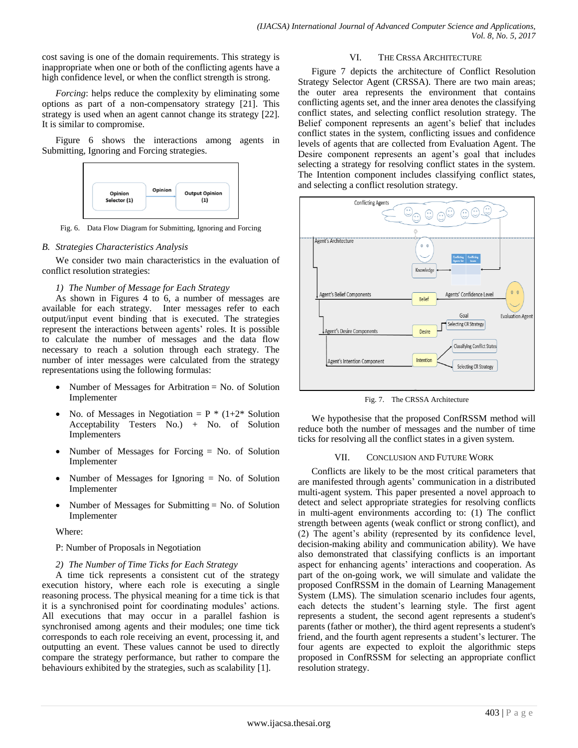cost saving is one of the domain requirements. This strategy is inappropriate when one or both of the conflicting agents have a high confidence level, or when the conflict strength is strong.

*Forcing*: helps reduce the complexity by eliminating some options as part of a non-compensatory strategy [21]. This strategy is used when an agent cannot change its strategy [22]. It is similar to compromise.

Figure 6 shows the interactions among agents in Submitting, Ignoring and Forcing strategies.



Fig. 6. Data Flow Diagram for Submitting, Ignoring and Forcing

#### *B. Strategies Characteristics Analysis*

We consider two main characteristics in the evaluation of conflict resolution strategies:

#### *1) The Number of Message for Each Strategy*

As shown in Figures 4 to 6, a number of messages are available for each strategy. Inter messages refer to each output/input event binding that is executed. The strategies represent the interactions between agents' roles. It is possible to calculate the number of messages and the data flow necessary to reach a solution through each strategy. The number of inter messages were calculated from the strategy representations using the following formulas:

- Number of Messages for Arbitration = No. of Solution Implementer
- No. of Messages in Negotiation =  $P * (1+2*$  Solution Acceptability Testers No.) + No. of Solution Implementers
- Number of Messages for Forcing = No. of Solution Implementer
- Number of Messages for Ignoring = No. of Solution Implementer
- Number of Messages for Submitting = No. of Solution Implementer

Where:

P: Number of Proposals in Negotiation

*2) The Number of Time Ticks for Each Strategy*

A time tick represents a consistent cut of the strategy execution history, where each role is executing a single reasoning process. The physical meaning for a time tick is that it is a synchronised point for coordinating modules' actions. All executions that may occur in a parallel fashion is synchronised among agents and their modules; one time tick corresponds to each role receiving an event, processing it, and outputting an event. These values cannot be used to directly compare the strategy performance, but rather to compare the behaviours exhibited by the strategies, such as scalability [1].

#### VI. THE CRSSA ARCHITECTURE

Figure 7 depicts the architecture of Conflict Resolution Strategy Selector Agent (CRSSA). There are two main areas; the outer area represents the environment that contains conflicting agents set, and the inner area denotes the classifying conflict states, and selecting conflict resolution strategy. The Belief component represents an agent's belief that includes conflict states in the system, conflicting issues and confidence levels of agents that are collected from Evaluation Agent. The Desire component represents an agent's goal that includes selecting a strategy for resolving conflict states in the system. The Intention component includes classifying conflict states, and selecting a conflict resolution strategy.



Fig. 7. The CRSSA Architecture

We hypothesise that the proposed ConfRSSM method will reduce both the number of messages and the number of time ticks for resolving all the conflict states in a given system.

#### VII. CONCLUSION AND FUTURE WORK

Conflicts are likely to be the most critical parameters that are manifested through agents' communication in a distributed multi-agent system. This paper presented a novel approach to detect and select appropriate strategies for resolving conflicts in multi-agent environments according to: (1) The conflict strength between agents (weak conflict or strong conflict), and (2) The agent's ability (represented by its confidence level, decision-making ability and communication ability). We have also demonstrated that classifying conflicts is an important aspect for enhancing agents' interactions and cooperation. As part of the on-going work, we will simulate and validate the proposed ConfRSSM in the domain of Learning Management System (LMS). The simulation scenario includes four agents, each detects the student's learning style. The first agent represents a student, the second agent represents a student's parents (father or mother), the third agent represents a student's friend, and the fourth agent represents a student's lecturer. The four agents are expected to exploit the algorithmic steps proposed in ConfRSSM for selecting an appropriate conflict resolution strategy.